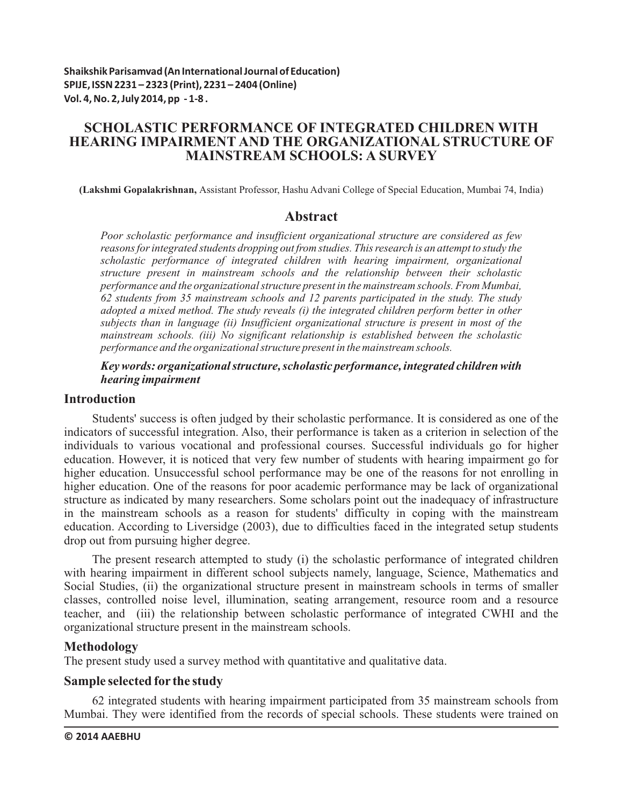# **SCHOLASTIC PERFORMANCE OF INTEGRATED CHILDREN WITH HEARING IMPAIRMENT AND THE ORGANIZATIONAL STRUCTURE OF MAINSTREAM SCHOOLS: A SURVEY**

**(Lakshmi Gopalakrishnan,** Assistant Professor, Hashu Advani College of Special Education, Mumbai 74, India)

## **Abstract**

*Poor scholastic performance and insufficient organizational structure are considered as few reasons for integrated students dropping out from studies. This research is an attempt to study the scholastic performance of integrated children with hearing impairment, organizational structure present in mainstream schools and the relationship between their scholastic performance and the organizational structure present in the mainstream schools. From Mumbai, 62 students from 35 mainstream schools and 12 parents participated in the study. The study adopted a mixed method. The study reveals (i) the integrated children perform better in other subjects than in language (ii) Insufficient organizational structure is present in most of the mainstream schools. (iii) No significant relationship is established between the scholastic performance and the organizational structure present in the mainstream schools.* 

## *Key words: organizational structure, scholastic performance, integrated children with hearing impairment*

## **Introduction**

Students' success is often judged by their scholastic performance. It is considered as one of the indicators of successful integration. Also, their performance is taken as a criterion in selection of the individuals to various vocational and professional courses. Successful individuals go for higher education. However, it is noticed that very few number of students with hearing impairment go for higher education. Unsuccessful school performance may be one of the reasons for not enrolling in higher education. One of the reasons for poor academic performance may be lack of organizational structure as indicated by many researchers. Some scholars point out the inadequacy of infrastructure in the mainstream schools as a reason for students' difficulty in coping with the mainstream education. According to Liversidge (2003), due to difficulties faced in the integrated setup students drop out from pursuing higher degree.

The present research attempted to study (i) the scholastic performance of integrated children with hearing impairment in different school subjects namely, language, Science, Mathematics and Social Studies, (ii) the organizational structure present in mainstream schools in terms of smaller classes, controlled noise level, illumination, seating arrangement, resource room and a resource teacher, and (iii) the relationship between scholastic performance of integrated CWHI and the organizational structure present in the mainstream schools.

## **Methodology**

The present study used a survey method with quantitative and qualitative data.

# **Sample selected for the study**

62 integrated students with hearing impairment participated from 35 mainstream schools from Mumbai. They were identified from the records of special schools. These students were trained on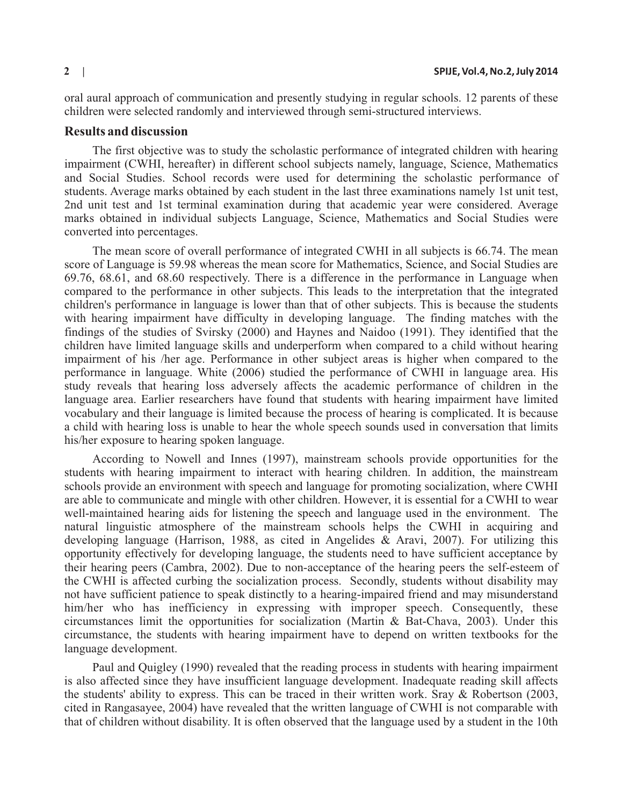oral aural approach of communication and presently studying in regular schools. 12 parents of these children were selected randomly and interviewed through semi-structured interviews.

## **Results and discussion**

The first objective was to study the scholastic performance of integrated children with hearing impairment (CWHI, hereafter) in different school subjects namely, language, Science, Mathematics and Social Studies. School records were used for determining the scholastic performance of students. Average marks obtained by each student in the last three examinations namely 1st unit test, 2nd unit test and 1st terminal examination during that academic year were considered. Average marks obtained in individual subjects Language, Science, Mathematics and Social Studies were converted into percentages.

The mean score of overall performance of integrated CWHI in all subjects is 66.74. The mean score of Language is 59.98 whereas the mean score for Mathematics, Science, and Social Studies are 69.76, 68.61, and 68.60 respectively. There is a difference in the performance in Language when compared to the performance in other subjects. This leads to the interpretation that the integrated children's performance in language is lower than that of other subjects. This is because the students with hearing impairment have difficulty in developing language. The finding matches with the findings of the studies of Svirsky (2000) and Haynes and Naidoo (1991). They identified that the children have limited language skills and underperform when compared to a child without hearing impairment of his /her age. Performance in other subject areas is higher when compared to the performance in language. White (2006) studied the performance of CWHI in language area. His study reveals that hearing loss adversely affects the academic performance of children in the language area. Earlier researchers have found that students with hearing impairment have limited vocabulary and their language is limited because the process of hearing is complicated. It is because a child with hearing loss is unable to hear the whole speech sounds used in conversation that limits his/her exposure to hearing spoken language.

According to Nowell and Innes (1997), mainstream schools provide opportunities for the students with hearing impairment to interact with hearing children. In addition, the mainstream schools provide an environment with speech and language for promoting socialization, where CWHI are able to communicate and mingle with other children. However, it is essential for a CWHI to wear well-maintained hearing aids for listening the speech and language used in the environment. The natural linguistic atmosphere of the mainstream schools helps the CWHI in acquiring and developing language (Harrison, 1988, as cited in Angelides & Aravi, 2007). For utilizing this opportunity effectively for developing language, the students need to have sufficient acceptance by their hearing peers (Cambra, 2002). Due to non-acceptance of the hearing peers the self-esteem of the CWHI is affected curbing the socialization process. Secondly, students without disability may not have sufficient patience to speak distinctly to a hearing-impaired friend and may misunderstand him/her who has inefficiency in expressing with improper speech. Consequently, these circumstances limit the opportunities for socialization (Martin & Bat-Chava, 2003). Under this circumstance, the students with hearing impairment have to depend on written textbooks for the language development.

Paul and Quigley (1990) revealed that the reading process in students with hearing impairment is also affected since they have insufficient language development. Inadequate reading skill affects the students' ability to express. This can be traced in their written work. Sray & Robertson (2003, cited in Rangasayee, 2004) have revealed that the written language of CWHI is not comparable with that of children without disability. It is often observed that the language used by a student in the 10th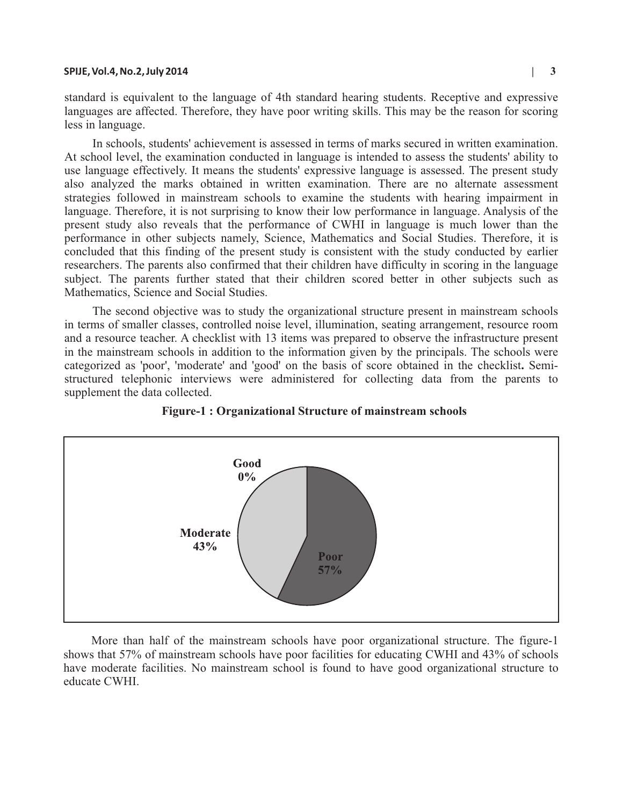#### **SPIJE, Vol.4, No.2, July 2014 | 3**

In schools, students' achievement is assessed in terms of marks secured in written examination. At school level, the examination conducted in language is intended to assess the students' ability to use language effectively. It means the students' expressive language is assessed. The present study also analyzed the marks obtained in written examination. There are no alternate assessment strategies followed in mainstream schools to examine the students with hearing impairment in language. Therefore, it is not surprising to know their low performance in language. Analysis of the present study also reveals that the performance of CWHI in language is much lower than the performance in other subjects namely, Science, Mathematics and Social Studies. Therefore, it is concluded that this finding of the present study is consistent with the study conducted by earlier researchers. The parents also confirmed that their children have difficulty in scoring in the language subject. The parents further stated that their children scored better in other subjects such as Mathematics, Science and Social Studies.

The second objective was to study the organizational structure present in mainstream schools in terms of smaller classes, controlled noise level, illumination, seating arrangement, resource room and a resource teacher. A checklist with 13 items was prepared to observe the infrastructure present in the mainstream schools in addition to the information given by the principals. The schools were categorized as 'poor', 'moderate' and 'good' on the basis of score obtained in the checklist**.** Semistructured telephonic interviews were administered for collecting data from the parents to supplement the data collected.



### **Figure-1 : Organizational Structure of mainstream schools**

More than half of the mainstream schools have poor organizational structure. The figure-1 shows that 57% of mainstream schools have poor facilities for educating CWHI and 43% of schools have moderate facilities. No mainstream school is found to have good organizational structure to educate CWHI.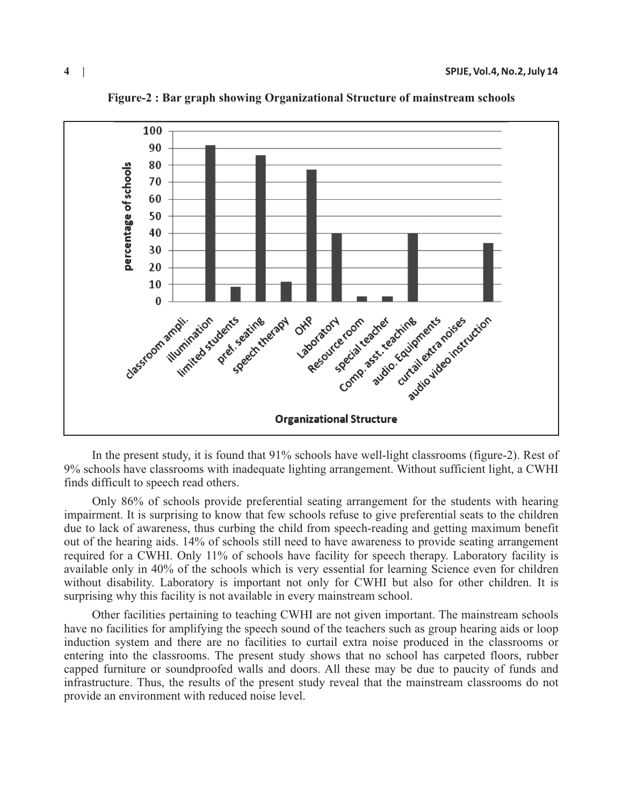

**Figure-2 : Bar graph showing Organizational Structure of mainstream schools**

In the present study, it is found that 91% schools have well-light classrooms (figure-2). Rest of 9% schools have classrooms with inadequate lighting arrangement. Without sufficient light, a CWHI finds difficult to speech read others.

Only 86% of schools provide preferential seating arrangement for the students with hearing impairment. It is surprising to know that few schools refuse to give preferential seats to the children due to lack of awareness, thus curbing the child from speech-reading and getting maximum benefit out of the hearing aids. 14% of schools still need to have awareness to provide seating arrangement required for a CWHI. Only 11% of schools have facility for speech therapy. Laboratory facility is available only in 40% of the schools which is very essential for learning Science even for children without disability. Laboratory is important not only for CWHI but also for other children. It is surprising why this facility is not available in every mainstream school.

Other facilities pertaining to teaching CWHI are not given important. The mainstream schools have no facilities for amplifying the speech sound of the teachers such as group hearing aids or loop induction system and there are no facilities to curtail extra noise produced in the classrooms or entering into the classrooms. The present study shows that no school has carpeted floors, rubber capped furniture or soundproofed walls and doors. All these may be due to paucity of funds and infrastructure. Thus, the results of the present study reveal that the mainstream classrooms do not provide an environment with reduced noise level.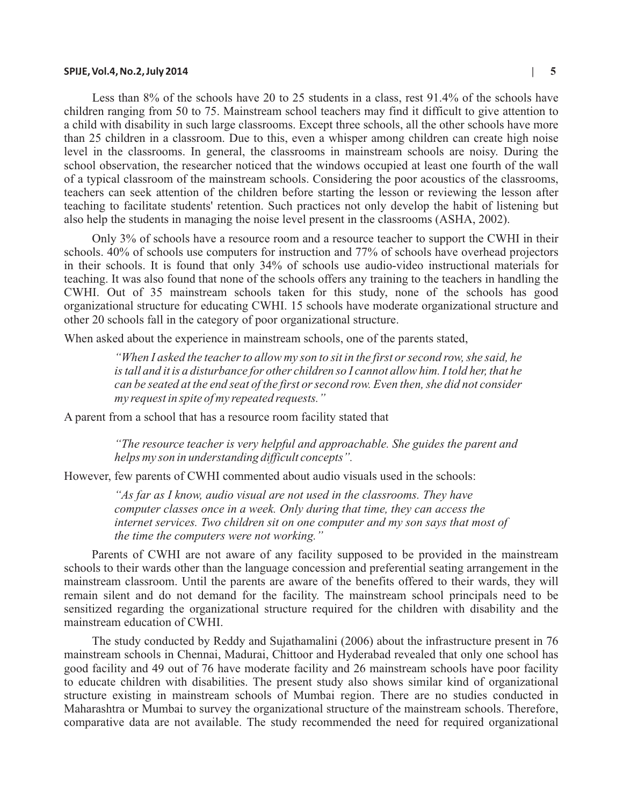### **SPIJE, Vol.4, No.2, July 2014 | 5**

Less than 8% of the schools have 20 to 25 students in a class, rest 91.4% of the schools have children ranging from 50 to 75. Mainstream school teachers may find it difficult to give attention to a child with disability in such large classrooms. Except three schools, all the other schools have more than 25 children in a classroom. Due to this, even a whisper among children can create high noise level in the classrooms. In general, the classrooms in mainstream schools are noisy. During the school observation, the researcher noticed that the windows occupied at least one fourth of the wall of a typical classroom of the mainstream schools. Considering the poor acoustics of the classrooms, teachers can seek attention of the children before starting the lesson or reviewing the lesson after teaching to facilitate students' retention. Such practices not only develop the habit of listening but

Only 3% of schools have a resource room and a resource teacher to support the CWHI in their schools. 40% of schools use computers for instruction and 77% of schools have overhead projectors in their schools. It is found that only 34% of schools use audio-video instructional materials for teaching. It was also found that none of the schools offers any training to the teachers in handling the CWHI. Out of 35 mainstream schools taken for this study, none of the schools has good organizational structure for educating CWHI. 15 schools have moderate organizational structure and other 20 schools fall in the category of poor organizational structure.

also help the students in managing the noise level present in the classrooms (ASHA, 2002).

When asked about the experience in mainstream schools, one of the parents stated,

*"When I asked the teacher to allow my son to sit in the first or second row, she said, he is tall and it is a disturbance for other children so I cannot allow him. I told her, that he can be seated at the end seat of the first or second row. Even then, she did not consider my request in spite of my repeated requests."* 

A parent from a school that has a resource room facility stated that

*"The resource teacher is very helpful and approachable. She guides the parent and helps my son in understanding difficult concepts".* 

However, few parents of CWHI commented about audio visuals used in the schools:

*"As far as I know, audio visual are not used in the classrooms. They have computer classes once in a week. Only during that time, they can access the internet services. Two children sit on one computer and my son says that most of the time the computers were not working."* 

Parents of CWHI are not aware of any facility supposed to be provided in the mainstream schools to their wards other than the language concession and preferential seating arrangement in the mainstream classroom. Until the parents are aware of the benefits offered to their wards, they will remain silent and do not demand for the facility. The mainstream school principals need to be sensitized regarding the organizational structure required for the children with disability and the mainstream education of CWHI.

The study conducted by Reddy and Sujathamalini (2006) about the infrastructure present in 76 mainstream schools in Chennai, Madurai, Chittoor and Hyderabad revealed that only one school has good facility and 49 out of 76 have moderate facility and 26 mainstream schools have poor facility to educate children with disabilities. The present study also shows similar kind of organizational structure existing in mainstream schools of Mumbai region. There are no studies conducted in Maharashtra or Mumbai to survey the organizational structure of the mainstream schools. Therefore, comparative data are not available. The study recommended the need for required organizational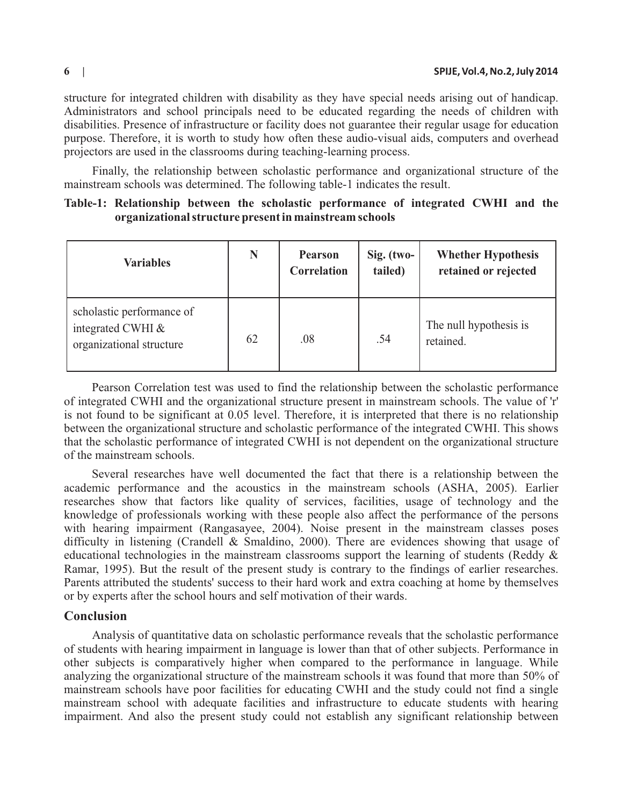structure for integrated children with disability as they have special needs arising out of handicap. Administrators and school principals need to be educated regarding the needs of children with disabilities. Presence of infrastructure or facility does not guarantee their regular usage for education purpose. Therefore, it is worth to study how often these audio-visual aids, computers and overhead projectors are used in the classrooms during teaching-learning process.

Finally, the relationship between scholastic performance and organizational structure of the mainstream schools was determined. The following table-1 indicates the result.

|                                                        |  |  |  |  | Table-1: Relationship between the scholastic performance of integrated CWHI and the |  |  |  |  |  |
|--------------------------------------------------------|--|--|--|--|-------------------------------------------------------------------------------------|--|--|--|--|--|
| organizational structure present in mainstream schools |  |  |  |  |                                                                                     |  |  |  |  |  |

| <b>Variables</b>                                                           | N  | <b>Pearson</b><br>Correlation | $Sig.$ (two-<br>tailed) | <b>Whether Hypothesis</b><br>retained or rejected |
|----------------------------------------------------------------------------|----|-------------------------------|-------------------------|---------------------------------------------------|
| scholastic performance of<br>integrated CWHI &<br>organizational structure | 62 | .08                           | .54                     | The null hypothesis is<br>retained.               |

Pearson Correlation test was used to find the relationship between the scholastic performance of integrated CWHI and the organizational structure present in mainstream schools. The value of 'r' is not found to be significant at 0.05 level. Therefore, it is interpreted that there is no relationship between the organizational structure and scholastic performance of the integrated CWHI. This shows that the scholastic performance of integrated CWHI is not dependent on the organizational structure of the mainstream schools.

Several researches have well documented the fact that there is a relationship between the academic performance and the acoustics in the mainstream schools (ASHA, 2005). Earlier researches show that factors like quality of services, facilities, usage of technology and the knowledge of professionals working with these people also affect the performance of the persons with hearing impairment (Rangasayee, 2004). Noise present in the mainstream classes poses difficulty in listening (Crandell & Smaldino, 2000). There are evidences showing that usage of educational technologies in the mainstream classrooms support the learning of students (Reddy & Ramar, 1995). But the result of the present study is contrary to the findings of earlier researches. Parents attributed the students' success to their hard work and extra coaching at home by themselves or by experts after the school hours and self motivation of their wards.

### **Conclusion**

Analysis of quantitative data on scholastic performance reveals that the scholastic performance of students with hearing impairment in language is lower than that of other subjects. Performance in other subjects is comparatively higher when compared to the performance in language. While analyzing the organizational structure of the mainstream schools it was found that more than 50% of mainstream schools have poor facilities for educating CWHI and the study could not find a single mainstream school with adequate facilities and infrastructure to educate students with hearing impairment. And also the present study could not establish any significant relationship between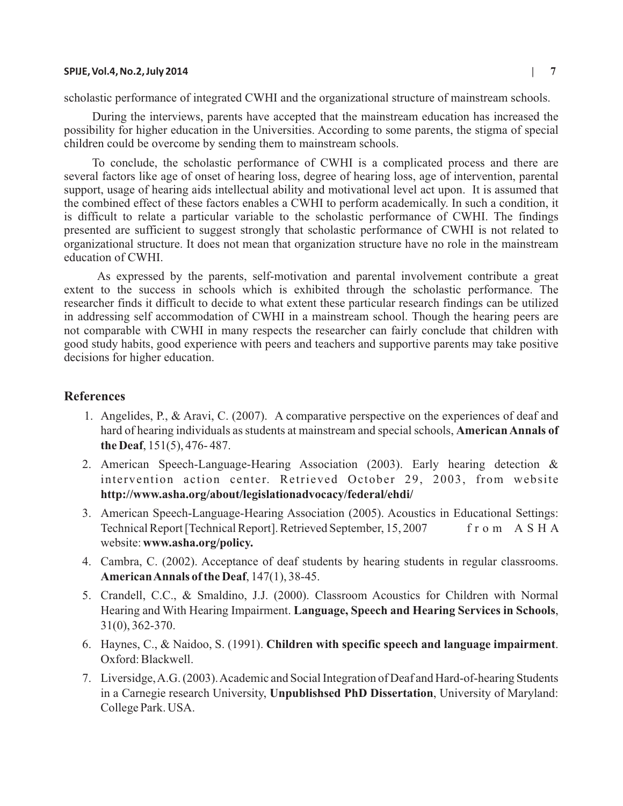#### **SPIJE, Vol.4, No.2, July 2014 | 7**

scholastic performance of integrated CWHI and the organizational structure of mainstream schools.

During the interviews, parents have accepted that the mainstream education has increased the possibility for higher education in the Universities. According to some parents, the stigma of special children could be overcome by sending them to mainstream schools.

To conclude, the scholastic performance of CWHI is a complicated process and there are several factors like age of onset of hearing loss, degree of hearing loss, age of intervention, parental support, usage of hearing aids intellectual ability and motivational level act upon. It is assumed that the combined effect of these factors enables a CWHI to perform academically. In such a condition, it is difficult to relate a particular variable to the scholastic performance of CWHI. The findings presented are sufficient to suggest strongly that scholastic performance of CWHI is not related to organizational structure. It does not mean that organization structure have no role in the mainstream education of CWHI.

As expressed by the parents, self-motivation and parental involvement contribute a great extent to the success in schools which is exhibited through the scholastic performance. The researcher finds it difficult to decide to what extent these particular research findings can be utilized in addressing self accommodation of CWHI in a mainstream school. Though the hearing peers are not comparable with CWHI in many respects the researcher can fairly conclude that children with good study habits, good experience with peers and teachers and supportive parents may take positive decisions for higher education.

### **References**

- 1. Angelides, P., & Aravi, C. (2007). A comparative perspective on the experiences of deaf and hard of hearing individuals as students at mainstream and special schools, **American Annals of the Deaf**, 151(5), 476- 487.
- 2. American Speech-Language-Hearing Association (2003). Early hearing detection & intervention action center. Retrieved October 29, 2003, from website **http://www.asha.org/about/legislationadvocacy/federal/ehdi/**
- 3. American Speech-Language-Hearing Association (2005). Acoustics in Educational Settings: Technical Report [Technical Report]. Retrieved September, 15, 2007 f r o m A S H A website: **www.asha.org/policy.**
- 4. Cambra, C. (2002). Acceptance of deaf students by hearing students in regular classrooms. **American Annals of the Deaf**, 147(1), 38-45.
- 5. Crandell, C.C., & Smaldino, J.J. (2000). Classroom Acoustics for Children with Normal Hearing and With Hearing Impairment. **Language, Speech and Hearing Services in Schools**, 31(0), 362-370.
- 6. Haynes, C., & Naidoo, S. (1991). **Children with specific speech and language impairment**. Oxford: Blackwell.
- 7. Liversidge, A.G. (2003). Academic and Social Integration of Deaf and Hard-of-hearing Students in a Carnegie research University, **Unpublishsed PhD Dissertation**, University of Maryland: College Park. USA.